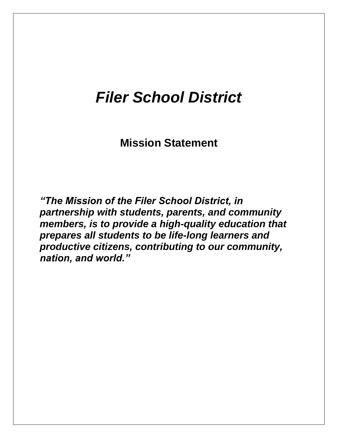# *Filer School District*

**Mission Statement**

*"The Mission of the Filer School District, in partnership with students, parents, and community members, is to provide a high-quality education that prepares all students to be life-long learners and productive citizens, contributing to our community, nation, and world."*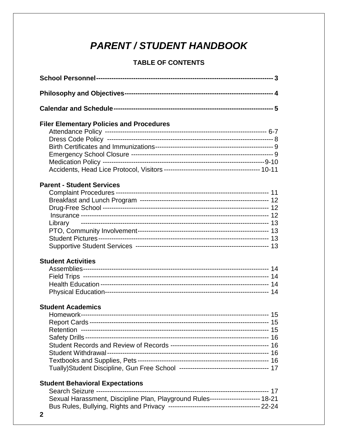# **PARENT / STUDENT HANDBOOK**

## **TABLE OF CONTENTS**

| <b>Filer Elementary Policies and Procedures</b>                                  |
|----------------------------------------------------------------------------------|
|                                                                                  |
|                                                                                  |
|                                                                                  |
|                                                                                  |
|                                                                                  |
| <b>Parent - Student Services</b>                                                 |
|                                                                                  |
|                                                                                  |
|                                                                                  |
|                                                                                  |
| Library                                                                          |
|                                                                                  |
|                                                                                  |
|                                                                                  |
| <b>Student Activities</b>                                                        |
|                                                                                  |
|                                                                                  |
|                                                                                  |
|                                                                                  |
| <b>Student Academics</b>                                                         |
|                                                                                  |
|                                                                                  |
|                                                                                  |
|                                                                                  |
|                                                                                  |
|                                                                                  |
|                                                                                  |
|                                                                                  |
| <b>Student Behavioral Expectations</b>                                           |
|                                                                                  |
| Sexual Harassment, Discipline Plan, Playground Rules---------------------- 18-21 |
|                                                                                  |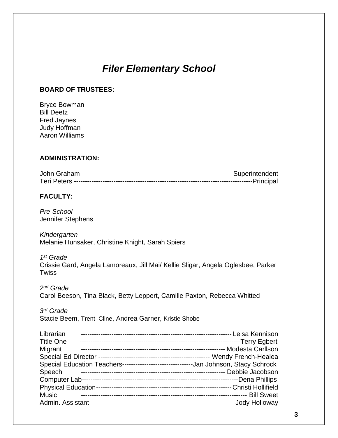# *Filer Elementary School*

#### **BOARD OF TRUSTEES:**

Bryce Bowman Bill Deetz Fred Jaynes Judy Hoffman Aaron Williams

#### **ADMINISTRATION:**

#### **FACULTY:**

*Pre-School* Jennifer Stephens

*Kindergarten* Melanie Hunsaker, Christine Knight, Sarah Spiers

*1 st Grade*  Crissie Gard, Angela Lamoreaux, Jill Mai/ Kellie Sligar, Angela Oglesbee, Parker **Twiss** 

*2 nd Grade*  Carol Beeson, Tina Black, Betty Leppert, Camille Paxton, Rebecca Whitted

*3 rd Grade*  Stacie Beem, Trent Cline, Andrea Garner, Kristie Shobe

| Librarian        |                                                                                      |
|------------------|--------------------------------------------------------------------------------------|
| <b>Title One</b> |                                                                                      |
| Migrant          |                                                                                      |
|                  |                                                                                      |
|                  | Special Education Teachers--------------------------------Jan Johnson, Stacy Schrock |
| Speech           |                                                                                      |
|                  |                                                                                      |
|                  |                                                                                      |
| <b>Music</b>     |                                                                                      |
|                  |                                                                                      |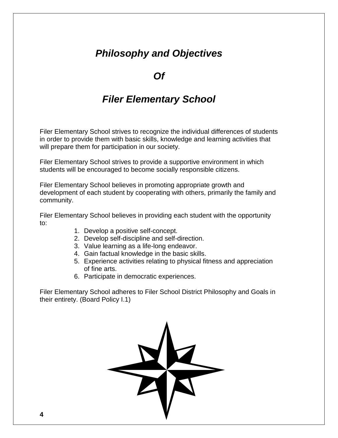# *Philosophy and Objectives*

## *Of*

# *Filer Elementary School*

Filer Elementary School strives to recognize the individual differences of students in order to provide them with basic skills, knowledge and learning activities that will prepare them for participation in our society.

Filer Elementary School strives to provide a supportive environment in which students will be encouraged to become socially responsible citizens.

Filer Elementary School believes in promoting appropriate growth and development of each student by cooperating with others, primarily the family and community.

Filer Elementary School believes in providing each student with the opportunity to:

- 1. Develop a positive self-concept.
- 2. Develop self-discipline and self-direction.
- 3. Value learning as a life-long endeavor.
- 4. Gain factual knowledge in the basic skills.
- 5. Experience activities relating to physical fitness and appreciation of fine arts.
- 6. Participate in democratic experiences.

Filer Elementary School adheres to Filer School District Philosophy and Goals in their entirety. (Board Policy I.1)

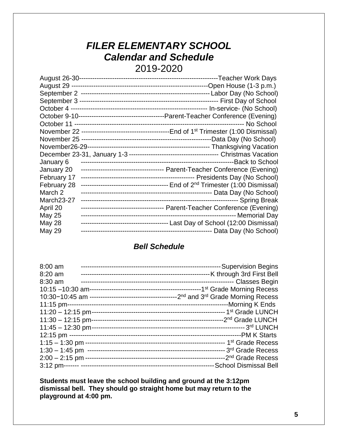# *FILER ELEMENTARY SCHOOL Calendar and Schedule*  2019-2020

| January 6          |  |
|--------------------|--|
| January 20         |  |
| February 17        |  |
| February 28        |  |
| March <sub>2</sub> |  |
| March23-27         |  |
| April 20           |  |
| May 25             |  |
| <b>May 28</b>      |  |
| May 29             |  |

## *Bell Schedule*

| 8:00 am             | --Supervision Begins         |
|---------------------|------------------------------|
| $8:20$ am           |                              |
| $8:30$ am           |                              |
|                     |                              |
|                     |                              |
| $11:15$ pm--        |                              |
| $11:20 - 12:15$ pm- |                              |
| $11:30 - 12:15$ pm- |                              |
| $11:45 - 12:30$ pm- |                              |
|                     |                              |
|                     |                              |
| $1:30 - 1:45$ pm    |                              |
|                     |                              |
|                     | <b>School Dismissal Bell</b> |

**Students must leave the school building and ground at the 3:12pm dismissal bell. They should go straight home but may return to the playground at 4:00 pm.**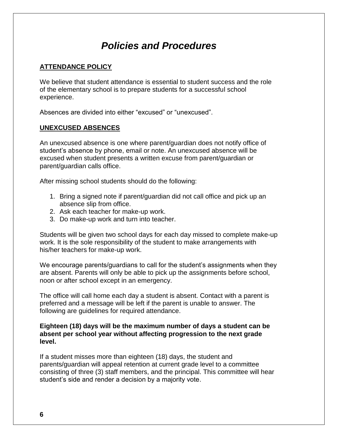# *Policies and Procedures*

#### **ATTENDANCE POLICY**

We believe that student attendance is essential to student success and the role of the elementary school is to prepare students for a successful school experience.

Absences are divided into either "excused" or "unexcused".

#### **UNEXCUSED ABSENCES**

An unexcused absence is one where parent/guardian does not notify office of student's absence by phone, email or note. An unexcused absence will be excused when student presents a written excuse from parent/guardian or parent/guardian calls office.

After missing school students should do the following:

- 1. Bring a signed note if parent/guardian did not call office and pick up an absence slip from office.
- 2. Ask each teacher for make-up work.
- 3. Do make-up work and turn into teacher.

Students will be given two school days for each day missed to complete make-up work. It is the sole responsibility of the student to make arrangements with his/her teachers for make-up work.

We encourage parents/guardians to call for the student's assignments when they are absent. Parents will only be able to pick up the assignments before school, noon or after school except in an emergency.

The office will call home each day a student is absent. Contact with a parent is preferred and a message will be left if the parent is unable to answer. The following are guidelines for required attendance.

#### **Eighteen (18) days will be the maximum number of days a student can be absent per school year without affecting progression to the next grade level.**

If a student misses more than eighteen (18) days, the student and parents/guardian will appeal retention at current grade level to a committee consisting of three (3) staff members, and the principal. This committee will hear student's side and render a decision by a majority vote.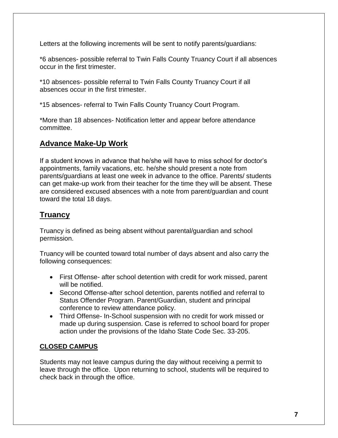Letters at the following increments will be sent to notify parents/guardians:

\*6 absences- possible referral to Twin Falls County Truancy Court if all absences occur in the first trimester.

\*10 absences- possible referral to Twin Falls County Truancy Court if all absences occur in the first trimester.

\*15 absences- referral to Twin Falls County Truancy Court Program.

\*More than 18 absences- Notification letter and appear before attendance committee.

## **Advance Make-Up Work**

If a student knows in advance that he/she will have to miss school for doctor's appointments, family vacations, etc. he/she should present a note from parents/guardians at least one week in advance to the office. Parents/ students can get make-up work from their teacher for the time they will be absent. These are considered excused absences with a note from parent/guardian and count toward the total 18 days.

## **Truancy**

Truancy is defined as being absent without parental/guardian and school permission.

Truancy will be counted toward total number of days absent and also carry the following consequences:

- First Offense- after school detention with credit for work missed, parent will be notified.
- Second Offense-after school detention, parents notified and referral to Status Offender Program. Parent/Guardian, student and principal conference to review attendance policy.
- Third Offense- In-School suspension with no credit for work missed or made up during suspension. Case is referred to school board for proper action under the provisions of the Idaho State Code Sec. 33-205.

## **CLOSED CAMPUS**

Students may not leave campus during the day without receiving a permit to leave through the office. Upon returning to school, students will be required to check back in through the office.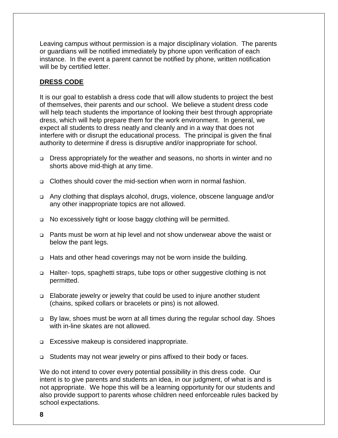Leaving campus without permission is a major disciplinary violation. The parents or guardians will be notified immediately by phone upon verification of each instance. In the event a parent cannot be notified by phone, written notification will be by certified letter.

#### **DRESS CODE**

It is our goal to establish a dress code that will allow students to project the best of themselves, their parents and our school. We believe a student dress code will help teach students the importance of looking their best through appropriate dress, which will help prepare them for the work environment. In general, we expect all students to dress neatly and cleanly and in a way that does not interfere with or disrupt the educational process. The principal is given the final authority to determine if dress is disruptive and/or inappropriate for school.

- ❑ Dress appropriately for the weather and seasons, no shorts in winter and no shorts above mid-thigh at any time.
- ❑ Clothes should cover the mid-section when worn in normal fashion.
- ❑ Any clothing that displays alcohol, drugs, violence, obscene language and/or any other inappropriate topics are not allowed.
- ❑ No excessively tight or loose baggy clothing will be permitted.
- ❑ Pants must be worn at hip level and not show underwear above the waist or below the pant legs.
- ❑ Hats and other head coverings may not be worn inside the building.
- ❑ Halter- tops, spaghetti straps, tube tops or other suggestive clothing is not permitted.
- ❑ Elaborate jewelry or jewelry that could be used to injure another student (chains, spiked collars or bracelets or pins) is not allowed.
- ❑ By law, shoes must be worn at all times during the regular school day. Shoes with in-line skates are not allowed.
- ❑ Excessive makeup is considered inappropriate.
- ❑ Students may not wear jewelry or pins affixed to their body or faces.

We do not intend to cover every potential possibility in this dress code. Our intent is to give parents and students an idea, in our judgment, of what is and is not appropriate. We hope this will be a learning opportunity for our students and also provide support to parents whose children need enforceable rules backed by school expectations.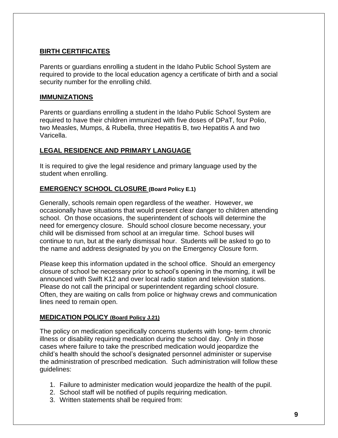#### **BIRTH CERTIFICATES**

Parents or guardians enrolling a student in the Idaho Public School System are required to provide to the local education agency a certificate of birth and a social security number for the enrolling child.

#### **IMMUNIZATIONS**

Parents or guardians enrolling a student in the Idaho Public School System are required to have their children immunized with five doses of DPaT, four Polio, two Measles, Mumps, & Rubella, three Hepatitis B, two Hepatitis A and two Varicella.

#### **LEGAL RESIDENCE AND PRIMARY LANGUAGE**

It is required to give the legal residence and primary language used by the student when enrolling.

#### **EMERGENCY SCHOOL CLOSURE (Board Policy E.1)**

Generally, schools remain open regardless of the weather. However, we occasionally have situations that would present clear danger to children attending school. On those occasions, the superintendent of schools will determine the need for emergency closure. Should school closure become necessary, your child will be dismissed from school at an irregular time. School buses will continue to run, but at the early dismissal hour. Students will be asked to go to the name and address designated by you on the Emergency Closure form.

Please keep this information updated in the school office. Should an emergency closure of school be necessary prior to school's opening in the morning, it will be announced with Swift K12 and over local radio station and television stations. Please do not call the principal or superintendent regarding school closure. Often, they are waiting on calls from police or highway crews and communication lines need to remain open.

#### **MEDICATION POLICY (Board Policy J.21)**

The policy on medication specifically concerns students with long- term chronic illness or disability requiring medication during the school day. Only in those cases where failure to take the prescribed medication would jeopardize the child's health should the school's designated personnel administer or supervise the administration of prescribed medication. Such administration will follow these guidelines:

- 1. Failure to administer medication would jeopardize the health of the pupil.
- 2. School staff will be notified of pupils requiring medication.
- 3. Written statements shall be required from: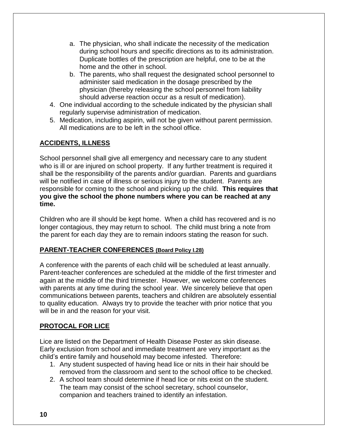- a. The physician, who shall indicate the necessity of the medication during school hours and specific directions as to its administration. Duplicate bottles of the prescription are helpful, one to be at the home and the other in school.
- b. The parents, who shall request the designated school personnel to administer said medication in the dosage prescribed by the physician (thereby releasing the school personnel from liability should adverse reaction occur as a result of medication).
- 4. One individual according to the schedule indicated by the physician shall regularly supervise administration of medication.
- 5. Medication, including aspirin, will not be given without parent permission. All medications are to be left in the school office.

## **ACCIDENTS, ILLNESS**

School personnel shall give all emergency and necessary care to any student who is ill or are injured on school property. If any further treatment is required it shall be the responsibility of the parents and/or guardian. Parents and guardians will be notified in case of illness or serious injury to the student. Parents are responsible for coming to the school and picking up the child. **This requires that you give the school the phone numbers where you can be reached at any time.**

Children who are ill should be kept home. When a child has recovered and is no longer contagious, they may return to school. The child must bring a note from the parent for each day they are to remain indoors stating the reason for such.

#### **PARENT-TEACHER CONFERENCES (Board Policy I.28)**

A conference with the parents of each child will be scheduled at least annually. Parent-teacher conferences are scheduled at the middle of the first trimester and again at the middle of the third trimester. However, we welcome conferences with parents at any time during the school year. We sincerely believe that open communications between parents, teachers and children are absolutely essential to quality education. Always try to provide the teacher with prior notice that you will be in and the reason for your visit.

#### **PROTOCAL FOR LICE**

Lice are listed on the Department of Health Disease Poster as skin disease. Early exclusion from school and immediate treatment are very important as the child's entire family and household may become infested. Therefore:

- 1. Any student suspected of having head lice or nits in their hair should be removed from the classroom and sent to the school office to be checked.
- 2. A school team should determine if head lice or nits exist on the student. The team may consist of the school secretary, school counselor, companion and teachers trained to identify an infestation.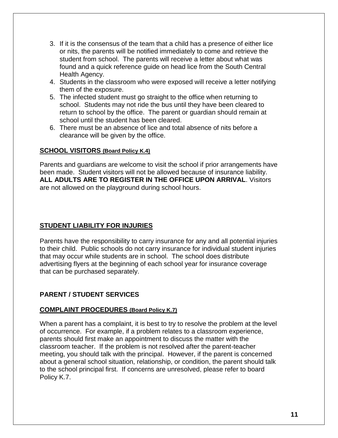- 3. If it is the consensus of the team that a child has a presence of either lice or nits, the parents will be notified immediately to come and retrieve the student from school. The parents will receive a letter about what was found and a quick reference guide on head lice from the South Central Health Agency.
- 4. Students in the classroom who were exposed will receive a letter notifying them of the exposure.
- 5. The infected student must go straight to the office when returning to school. Students may not ride the bus until they have been cleared to return to school by the office. The parent or guardian should remain at school until the student has been cleared.
- 6. There must be an absence of lice and total absence of nits before a clearance will be given by the office.

#### **SCHOOL VISITORS (Board Policy K.4)**

Parents and guardians are welcome to visit the school if prior arrangements have been made. Student visitors will not be allowed because of insurance liability. **ALL ADULTS ARE TO REGISTER IN THE OFFICE UPON ARRIVAL**. Visitors are not allowed on the playground during school hours.

#### **STUDENT LIABILITY FOR INJURIES**

Parents have the responsibility to carry insurance for any and all potential injuries to their child. Public schools do not carry insurance for individual student injuries that may occur while students are in school. The school does distribute advertising flyers at the beginning of each school year for insurance coverage that can be purchased separately.

#### **PARENT / STUDENT SERVICES**

#### **COMPLAINT PROCEDURES (Board Policy K.7)**

When a parent has a complaint, it is best to try to resolve the problem at the level of occurrence. For example, if a problem relates to a classroom experience, parents should first make an appointment to discuss the matter with the classroom teacher. If the problem is not resolved after the parent-teacher meeting, you should talk with the principal. However, if the parent is concerned about a general school situation, relationship, or condition, the parent should talk to the school principal first. If concerns are unresolved, please refer to board Policy K.7.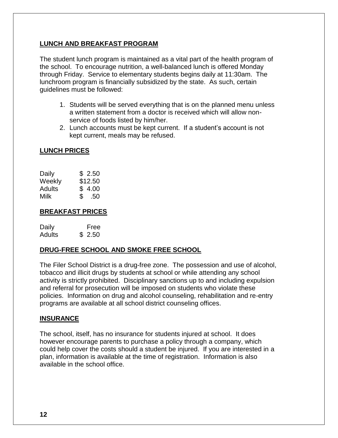#### **LUNCH AND BREAKFAST PROGRAM**

The student lunch program is maintained as a vital part of the health program of the school. To encourage nutrition, a well-balanced lunch is offered Monday through Friday. Service to elementary students begins daily at 11:30am. The lunchroom program is financially subsidized by the state. As such, certain guidelines must be followed:

- 1. Students will be served everything that is on the planned menu unless a written statement from a doctor is received which will allow nonservice of foods listed by him/her.
- 2. Lunch accounts must be kept current. If a student's account is not kept current, meals may be refused.

#### **LUNCH PRICES**

| Daily  | \$2.50              |
|--------|---------------------|
| Weekly | \$12.50             |
| Adults | \$4.00              |
| Milk   | $\mathbb{S}$<br>.50 |

#### **BREAKFAST PRICES**

Daily Free Adults \$ 2.50

#### **DRUG-FREE SCHOOL AND SMOKE FREE SCHOOL**

The Filer School District is a drug-free zone. The possession and use of alcohol, tobacco and illicit drugs by students at school or while attending any school activity is strictly prohibited. Disciplinary sanctions up to and including expulsion and referral for prosecution will be imposed on students who violate these policies. Information on drug and alcohol counseling, rehabilitation and re-entry programs are available at all school district counseling offices.

#### **INSURANCE**

The school, itself, has no insurance for students injured at school. It does however encourage parents to purchase a policy through a company, which could help cover the costs should a student be injured. If you are interested in a plan, information is available at the time of registration. Information is also available in the school office.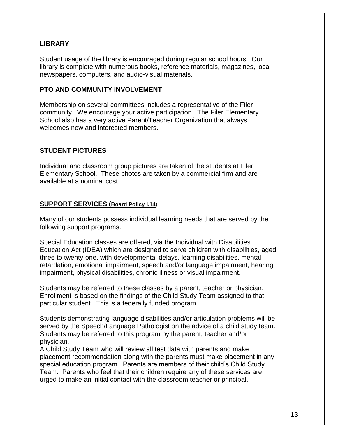#### **LIBRARY**

Student usage of the library is encouraged during regular school hours. Our library is complete with numerous books, reference materials, magazines, local newspapers, computers, and audio-visual materials.

#### **PTO AND COMMUNITY INVOLVEMENT**

Membership on several committees includes a representative of the Filer community. We encourage your active participation. The Filer Elementary School also has a very active Parent/Teacher Organization that always welcomes new and interested members.

#### **STUDENT PICTURES**

Individual and classroom group pictures are taken of the students at Filer Elementary School. These photos are taken by a commercial firm and are available at a nominal cost.

#### **SUPPORT SERVICES (Board Policy I.14**)

Many of our students possess individual learning needs that are served by the following support programs.

Special Education classes are offered, via the Individual with Disabilities Education Act (IDEA) which are designed to serve children with disabilities, aged three to twenty-one, with developmental delays, learning disabilities, mental retardation, emotional impairment, speech and/or language impairment, hearing impairment, physical disabilities, chronic illness or visual impairment.

Students may be referred to these classes by a parent, teacher or physician. Enrollment is based on the findings of the Child Study Team assigned to that particular student. This is a federally funded program.

Students demonstrating language disabilities and/or articulation problems will be served by the Speech/Language Pathologist on the advice of a child study team. Students may be referred to this program by the parent, teacher and/or physician.

A Child Study Team who will review all test data with parents and make placement recommendation along with the parents must make placement in any special education program. Parents are members of their child's Child Study Team. Parents who feel that their children require any of these services are urged to make an initial contact with the classroom teacher or principal.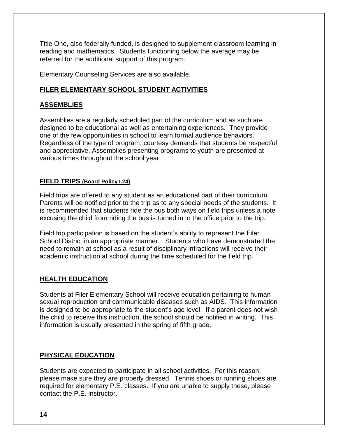Title One, also federally funded, is designed to supplement classroom learning in reading and mathematics. Students functioning below the average may be referred for the additional support of this program.

Elementary Counseling Services are also available.

#### **FILER ELEMENTARY SCHOOL STUDENT ACTIVITIES**

#### **ASSEMBLIES**

Assemblies are a regularly scheduled part of the curriculum and as such are designed to be educational as well as entertaining experiences. They provide one of the few opportunities in school to learn formal audience behaviors. Regardless of the type of program, courtesy demands that students be respectful and appreciative. Assemblies presenting programs to youth are presented at various times throughout the school year.

#### **FIELD TRIPS (Board Policy I.24)**

Field trips are offered to any student as an educational part of their curriculum. Parents will be notified prior to the trip as to any special needs of the students. It is recommended that students ride the bus both ways on field trips unless a note excusing the child from riding the bus is turned in to the office prior to the trip.

Field trip participation is based on the student's ability to represent the Filer School District in an appropriate manner. Students who have demonstrated the need to remain at school as a result of disciplinary infractions will receive their academic instruction at school during the time scheduled for the field trip.

#### **HEALTH EDUCATION**

Students at Filer Elementary School will receive education pertaining to human sexual reproduction and communicable diseases such as AIDS. This information is designed to be appropriate to the student's age level. If a parent does not wish the child to receive this instruction, the school should be notified in writing. This information is usually presented in the spring of fifth grade.

#### **PHYSICAL EDUCATION**

Students are expected to participate in all school activities. For this reason, please make sure they are properly dressed. Tennis shoes or running shoes are required for elementary P.E. classes. If you are unable to supply these, please contact the P.E. instructor.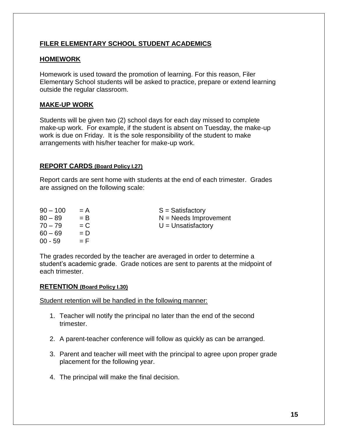#### **FILER ELEMENTARY SCHOOL STUDENT ACADEMICS**

#### **HOMEWORK**

Homework is used toward the promotion of learning. For this reason, Filer Elementary School students will be asked to practice, prepare or extend learning outside the regular classroom.

#### **MAKE-UP WORK**

Students will be given two (2) school days for each day missed to complete make-up work. For example, if the student is absent on Tuesday, the make-up work is due on Friday. It is the sole responsibility of the student to make arrangements with his/her teacher for make-up work.

#### **REPORT CARDS (Board Policy I.27)**

Report cards are sent home with students at the end of each trimester. Grades are assigned on the following scale:

| $90 - 100$ | $= A$ | $S =$ Satisfactory      |
|------------|-------|-------------------------|
| $80 - 89$  | $=$ B | $N =$ Needs Improvement |
| $70 - 79$  | $= C$ | $U =$ Unsatisfactory    |
| $60 - 69$  | $= D$ |                         |
| $00 - 59$  | $=$ F |                         |
|            |       |                         |

The grades recorded by the teacher are averaged in order to determine a student's academic grade. Grade notices are sent to parents at the midpoint of each trimester.

#### **RETENTION (Board Policy I.30)**

Student retention will be handled in the following manner:

- 1. Teacher will notify the principal no later than the end of the second trimester.
- 2. A parent-teacher conference will follow as quickly as can be arranged.
- 3. Parent and teacher will meet with the principal to agree upon proper grade placement for the following year.
- 4. The principal will make the final decision.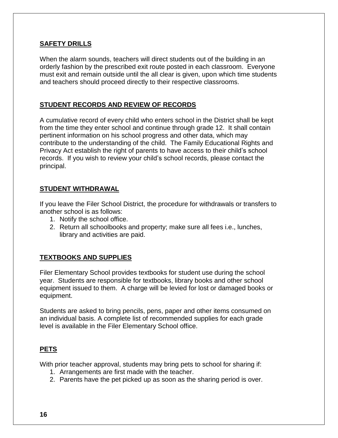#### **SAFETY DRILLS**

When the alarm sounds, teachers will direct students out of the building in an orderly fashion by the prescribed exit route posted in each classroom. Everyone must exit and remain outside until the all clear is given, upon which time students and teachers should proceed directly to their respective classrooms.

#### **STUDENT RECORDS AND REVIEW OF RECORDS**

A cumulative record of every child who enters school in the District shall be kept from the time they enter school and continue through grade 12. It shall contain pertinent information on his school progress and other data, which may contribute to the understanding of the child. The Family Educational Rights and Privacy Act establish the right of parents to have access to their child's school records. If you wish to review your child's school records, please contact the principal.

#### **STUDENT WITHDRAWAL**

If you leave the Filer School District, the procedure for withdrawals or transfers to another school is as follows:

- 1. Notify the school office.
- 2. Return all schoolbooks and property; make sure all fees i.e., lunches, library and activities are paid.

#### **TEXTBOOKS AND SUPPLIES**

Filer Elementary School provides textbooks for student use during the school year. Students are responsible for textbooks, library books and other school equipment issued to them. A charge will be levied for lost or damaged books or equipment.

Students are asked to bring pencils, pens, paper and other items consumed on an individual basis. A complete list of recommended supplies for each grade level is available in the Filer Elementary School office.

#### **PETS**

With prior teacher approval, students may bring pets to school for sharing if:

- 1. Arrangements are first made with the teacher.
- 2. Parents have the pet picked up as soon as the sharing period is over.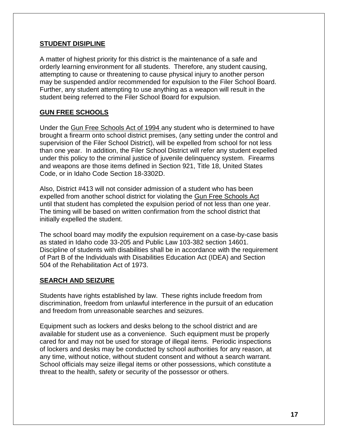#### **STUDENT DISIPLINE**

A matter of highest priority for this district is the maintenance of a safe and orderly learning environment for all students. Therefore, any student causing, attempting to cause or threatening to cause physical injury to another person may be suspended and/or recommended for expulsion to the Filer School Board. Further, any student attempting to use anything as a weapon will result in the student being referred to the Filer School Board for expulsion.

#### **GUN FREE SCHOOLS**

Under the Gun Free Schools Act of 1994 any student who is determined to have brought a firearm onto school district premises, (any setting under the control and supervision of the Filer School District), will be expelled from school for not less than one year. In addition, the Filer School District will refer any student expelled under this policy to the criminal justice of juvenile delinquency system. Firearms and weapons are those items defined in Section 921, Title 18, United States Code, or in Idaho Code Section 18-3302D.

Also, District #413 will not consider admission of a student who has been expelled from another school district for violating the Gun Free Schools Act until that student has completed the expulsion period of not less than one year. The timing will be based on written confirmation from the school district that initially expelled the student.

The school board may modify the expulsion requirement on a case-by-case basis as stated in Idaho code 33-205 and Public Law 103-382 section 14601. Discipline of students with disabilities shall be in accordance with the requirement of Part B of the Individuals with Disabilities Education Act (IDEA) and Section 504 of the Rehabilitation Act of 1973.

#### **SEARCH AND SEIZURE**

Students have rights established by law. These rights include freedom from discrimination, freedom from unlawful interference in the pursuit of an education and freedom from unreasonable searches and seizures.

Equipment such as lockers and desks belong to the school district and are available for student use as a convenience. Such equipment must be properly cared for and may not be used for storage of illegal items. Periodic inspections of lockers and desks may be conducted by school authorities for any reason, at any time, without notice, without student consent and without a search warrant. School officials may seize illegal items or other possessions, which constitute a threat to the health, safety or security of the possessor or others.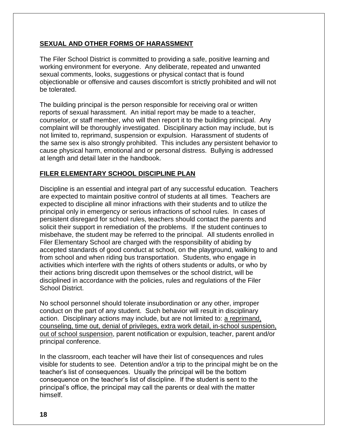#### **SEXUAL AND OTHER FORMS OF HARASSMENT**

The Filer School District is committed to providing a safe, positive learning and working environment for everyone. Any deliberate, repeated and unwanted sexual comments, looks, suggestions or physical contact that is found objectionable or offensive and causes discomfort is strictly prohibited and will not be tolerated.

The building principal is the person responsible for receiving oral or written reports of sexual harassment. An initial report may be made to a teacher, counselor, or staff member, who will then report it to the building principal. Any complaint will be thoroughly investigated. Disciplinary action may include, but is not limited to, reprimand, suspension or expulsion. Harassment of students of the same sex is also strongly prohibited. This includes any persistent behavior to cause physical harm, emotional and or personal distress. Bullying is addressed at length and detail later in the handbook.

#### **FILER ELEMENTARY SCHOOL DISCIPLINE PLAN**

Discipline is an essential and integral part of any successful education. Teachers are expected to maintain positive control of students at all times. Teachers are expected to discipline all minor infractions with their students and to utilize the principal only in emergency or serious infractions of school rules. In cases of persistent disregard for school rules, teachers should contact the parents and solicit their support in remediation of the problems. If the student continues to misbehave, the student may be referred to the principal. All students enrolled in Filer Elementary School are charged with the responsibility of abiding by accepted standards of good conduct at school, on the playground, walking to and from school and when riding bus transportation. Students, who engage in activities which interfere with the rights of others students or adults, or who by their actions bring discredit upon themselves or the school district, will be disciplined in accordance with the policies, rules and regulations of the Filer School District.

No school personnel should tolerate insubordination or any other, improper conduct on the part of any student. Such behavior will result in disciplinary action. Disciplinary actions may include, but are not limited to: a reprimand, counseling, time out, denial of privileges, extra work detail, in-school suspension, out of school suspension, parent notification or expulsion, teacher, parent and/or principal conference.

In the classroom, each teacher will have their list of consequences and rules visible for students to see. Detention and/or a trip to the principal might be on the teacher's list of consequences. Usually the principal will be the bottom consequence on the teacher's list of discipline. If the student is sent to the principal's office, the principal may call the parents or deal with the matter himself.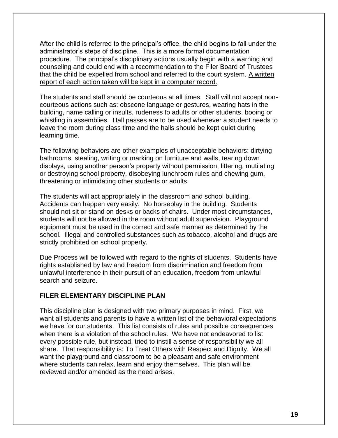After the child is referred to the principal's office, the child begins to fall under the administrator's steps of discipline. This is a more formal documentation procedure. The principal's disciplinary actions usually begin with a warning and counseling and could end with a recommendation to the Filer Board of Trustees that the child be expelled from school and referred to the court system. A written report of each action taken will be kept in a computer record.

The students and staff should be courteous at all times. Staff will not accept noncourteous actions such as: obscene language or gestures, wearing hats in the building, name calling or insults, rudeness to adults or other students, booing or whistling in assemblies. Hall passes are to be used whenever a student needs to leave the room during class time and the halls should be kept quiet during learning time.

The following behaviors are other examples of unacceptable behaviors: dirtying bathrooms, stealing, writing or marking on furniture and walls, tearing down displays, using another person's property without permission, littering, mutilating or destroying school property, disobeying lunchroom rules and chewing gum, threatening or intimidating other students or adults.

The students will act appropriately in the classroom and school building. Accidents can happen very easily. No horseplay in the building. Students should not sit or stand on desks or backs of chairs. Under most circumstances, students will not be allowed in the room without adult supervision. Playground equipment must be used in the correct and safe manner as determined by the school. Illegal and controlled substances such as tobacco, alcohol and drugs are strictly prohibited on school property.

Due Process will be followed with regard to the rights of students. Students have rights established by law and freedom from discrimination and freedom from unlawful interference in their pursuit of an education, freedom from unlawful search and seizure.

#### **FILER ELEMENTARY DISCIPLINE PLAN**

This discipline plan is designed with two primary purposes in mind. First, we want all students and parents to have a written list of the behavioral expectations we have for our students. This list consists of rules and possible consequences when there is a violation of the school rules. We have not endeavored to list every possible rule, but instead, tried to instill a sense of responsibility we all share. That responsibility is: To Treat Others with Respect and Dignity. We all want the playground and classroom to be a pleasant and safe environment where students can relax, learn and enjoy themselves. This plan will be reviewed and/or amended as the need arises.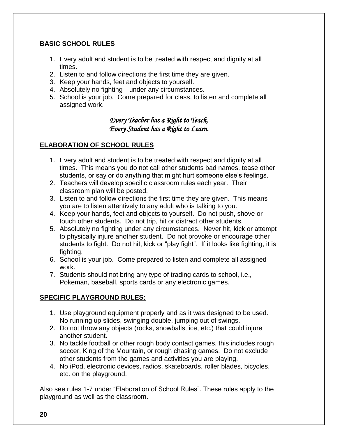#### **BASIC SCHOOL RULES**

- 1. Every adult and student is to be treated with respect and dignity at all times.
- 2. Listen to and follow directions the first time they are given.
- 3. Keep your hands, feet and objects to yourself.
- 4. Absolutely no fighting—under any circumstances.
- 5. School is your job. Come prepared for class, to listen and complete all assigned work.

#### *Every Teacher has a Right to Teach, Every Student has a Right to Learn.*

#### **ELABORATION OF SCHOOL RULES**

- 1. Every adult and student is to be treated with respect and dignity at all times. This means you do not call other students bad names, tease other students, or say or do anything that might hurt someone else's feelings.
- 2. Teachers will develop specific classroom rules each year. Their classroom plan will be posted.
- 3. Listen to and follow directions the first time they are given. This means you are to listen attentively to any adult who is talking to you.
- 4. Keep your hands, feet and objects to yourself. Do not push, shove or touch other students. Do not trip, hit or distract other students.
- 5. Absolutely no fighting under any circumstances. Never hit, kick or attempt to physically injure another student. Do not provoke or encourage other students to fight. Do not hit, kick or "play fight". If it looks like fighting, it is fighting.
- 6. School is your job. Come prepared to listen and complete all assigned work.
- 7. Students should not bring any type of trading cards to school, i.e., Pokeman, baseball, sports cards or any electronic games.

#### **SPECIFIC PLAYGROUND RULES:**

- 1. Use playground equipment properly and as it was designed to be used. No running up slides, swinging double, jumping out of swings.
- 2. Do not throw any objects (rocks, snowballs, ice, etc.) that could injure another student.
- 3. No tackle football or other rough body contact games, this includes rough soccer, King of the Mountain, or rough chasing games. Do not exclude other students from the games and activities you are playing.
- 4. No iPod, electronic devices, radios, skateboards, roller blades, bicycles, etc. on the playground.

Also see rules 1-7 under "Elaboration of School Rules". These rules apply to the playground as well as the classroom.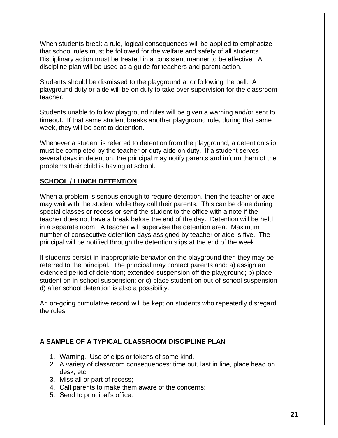When students break a rule, logical consequences will be applied to emphasize that school rules must be followed for the welfare and safety of all students. Disciplinary action must be treated in a consistent manner to be effective. A discipline plan will be used as a guide for teachers and parent action.

Students should be dismissed to the playground at or following the bell. A playground duty or aide will be on duty to take over supervision for the classroom teacher.

Students unable to follow playground rules will be given a warning and/or sent to timeout. If that same student breaks another playground rule, during that same week, they will be sent to detention.

Whenever a student is referred to detention from the playground, a detention slip must be completed by the teacher or duty aide on duty. If a student serves several days in detention, the principal may notify parents and inform them of the problems their child is having at school.

#### **SCHOOL / LUNCH DETENTION**

When a problem is serious enough to require detention, then the teacher or aide may wait with the student while they call their parents. This can be done during special classes or recess or send the student to the office with a note if the teacher does not have a break before the end of the day. Detention will be held in a separate room. A teacher will supervise the detention area. Maximum number of consecutive detention days assigned by teacher or aide is five. The principal will be notified through the detention slips at the end of the week.

If students persist in inappropriate behavior on the playground then they may be referred to the principal. The principal may contact parents and: a) assign an extended period of detention; extended suspension off the playground; b) place student on in-school suspension; or c) place student on out-of-school suspension d) after school detention is also a possibility.

An on-going cumulative record will be kept on students who repeatedly disregard the rules.

#### **A SAMPLE OF A TYPICAL CLASSROOM DISCIPLINE PLAN**

- 1. Warning. Use of clips or tokens of some kind.
- 2. A variety of classroom consequences: time out, last in line, place head on desk, etc.
- 3. Miss all or part of recess;
- 4. Call parents to make them aware of the concerns;
- 5. Send to principal's office.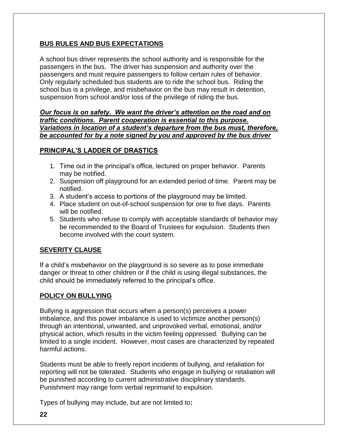#### **BUS RULES AND BUS EXPECTATIONS**

A school bus driver represents the school authority and is responsible for the passengers in the bus. The driver has suspension and authority over the passengers and must require passengers to follow certain rules of behavior. Only regularly scheduled bus students are to ride the school bus. Riding the school bus is a privilege, and misbehavior on the bus may result in detention, suspension from school and/or loss of the privilege of riding the bus.

*Our focus is on safety. We want the driver's attention on the road and on traffic conditions. Parent cooperation is essential to this purpose. Variations in location of a student's departure from the bus must, therefore, be accounted for by a note signed by you and approved by the bus driver* 

#### **PRINCIPAL'S LADDER OF DRASTICS**

- 1. Time out in the principal's office, lectured on proper behavior. Parents may be notified.
- 2. Suspension off playground for an extended period of time. Parent may be notified.
- 3. A student's access to portions of the playground may be limited.
- 4. Place student on out-of-school suspension for one to five days. Parents will be notified.
- 5. Students who refuse to comply with acceptable standards of behavior may be recommended to the Board of Trustees for expulsion. Students then become involved with the court system.

#### **SEVERITY CLAUSE**

If a child's misbehavior on the playground is so severe as to pose immediate danger or threat to other children or if the child is using illegal substances, the child should be immediately referred to the principal's office.

#### **POLICY ON BULLYING**

Bullying is aggression that occurs when a person(s) perceives a power imbalance, and this power imbalance is used to victimize another person(s) through an intentional, unwanted, and unprovoked verbal, emotional, and/or physical action, which results in the victim feeling oppressed. Bullying can be limited to a single incident. However, most cases are characterized by repeated harmful actions.

Students must be able to freely report incidents of bullying, and retaliation for reporting will not be tolerated. Students who engage in bullying or retaliation will be punished according to current administrative disciplinary standards. Punishment may range form verbal reprimand to expulsion.

Types of bullying may include, but are not limited to**:**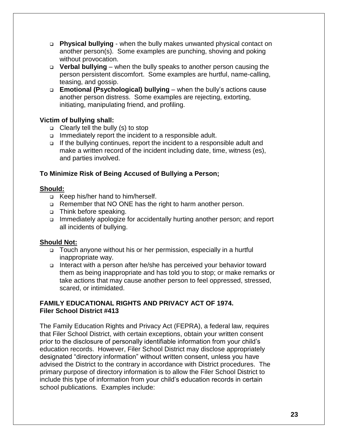- ❑ **Physical bullying**  when the bully makes unwanted physical contact on another person(s). Some examples are punching, shoving and poking without provocation.
- ❑ **Verbal bullying** when the bully speaks to another person causing the person persistent discomfort. Some examples are hurtful, name-calling, teasing, and gossip.
- ❑ **Emotional (Psychological) bullying** when the bully's actions cause another person distress. Some examples are rejecting, extorting, initiating, manipulating friend, and profiling.

#### **Victim of bullying shall:**

- ❑ Clearly tell the bully (s) to stop
- ❑ Immediately report the incident to a responsible adult.
- ❑ If the bullying continues, report the incident to a responsible adult and make a written record of the incident including date, time, witness (es), and parties involved.

#### **To Minimize Risk of Being Accused of Bullying a Person;**

#### **Should:**

- ❑ Keep his/her hand to him/herself.
- ❑ Remember that NO ONE has the right to harm another person.
- ❑ Think before speaking.
- ❑ Immediately apologize for accidentally hurting another person; and report all incidents of bullying.

#### **Should Not:**

- ❑ Touch anyone without his or her permission, especially in a hurtful inappropriate way.
- ❑ Interact with a person after he/she has perceived your behavior toward them as being inappropriate and has told you to stop; or make remarks or take actions that may cause another person to feel oppressed, stressed, scared, or intimidated.

#### **FAMILY EDUCATIONAL RIGHTS AND PRIVACY ACT OF 1974. Filer School District #413**

The Family Education Rights and Privacy Act (FEPRA), a federal law, requires that Filer School District, with certain exceptions, obtain your written consent prior to the disclosure of personally identifiable information from your child's education records. However, Filer School District may disclose appropriately designated "directory information" without written consent, unless you have advised the District to the contrary in accordance with District procedures. The primary purpose of directory information is to allow the Filer School District to include this type of information from your child's education records in certain school publications. Examples include: